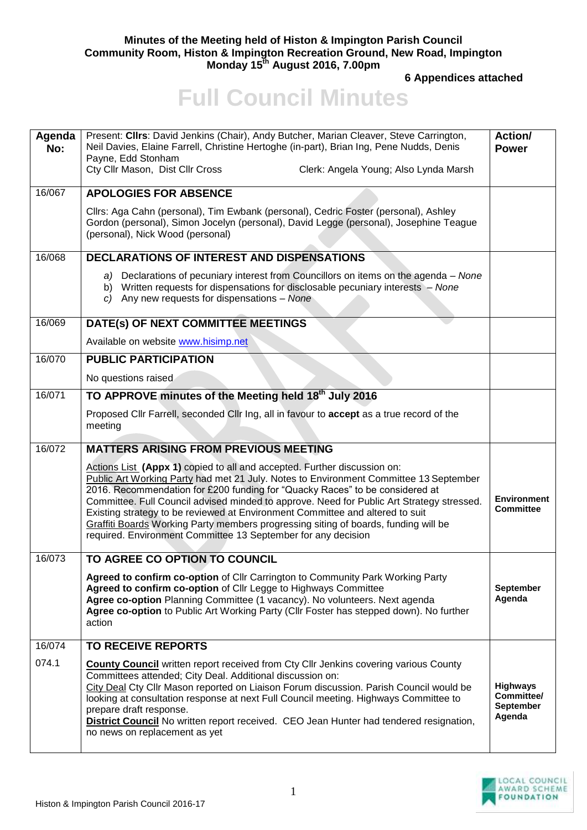## **Minutes of the Meeting held of Histon & Impington Parish Council Community Room, Histon & Impington Recreation Ground, New Road, Impington Monday 15 th August 2016, 7.00pm**

**6 Appendices attached** 

## **Full Council Minutes**

| Agenda<br>No: | Present: Clirs: David Jenkins (Chair), Andy Butcher, Marian Cleaver, Steve Carrington,<br>Neil Davies, Elaine Farrell, Christine Hertoghe (in-part), Brian Ing, Pene Nudds, Denis<br>Payne, Edd Stonham<br>Cty Cllr Mason, Dist Cllr Cross<br>Clerk: Angela Young; Also Lynda Marsh                                                                                                                                                                                                                                                                                                     | Action/<br><b>Power</b>                                     |
|---------------|-----------------------------------------------------------------------------------------------------------------------------------------------------------------------------------------------------------------------------------------------------------------------------------------------------------------------------------------------------------------------------------------------------------------------------------------------------------------------------------------------------------------------------------------------------------------------------------------|-------------------------------------------------------------|
| 16/067        | <b>APOLOGIES FOR ABSENCE</b>                                                                                                                                                                                                                                                                                                                                                                                                                                                                                                                                                            |                                                             |
|               | Cllrs: Aga Cahn (personal), Tim Ewbank (personal), Cedric Foster (personal), Ashley<br>Gordon (personal), Simon Jocelyn (personal), David Legge (personal), Josephine Teague<br>(personal), Nick Wood (personal)                                                                                                                                                                                                                                                                                                                                                                        |                                                             |
| 16/068        | <b>DECLARATIONS OF INTEREST AND DISPENSATIONS</b>                                                                                                                                                                                                                                                                                                                                                                                                                                                                                                                                       |                                                             |
|               | a) Declarations of pecuniary interest from Councillors on items on the agenda – None<br>b) Written requests for dispensations for disclosable pecuniary interests - None<br>c) Any new requests for dispensations $-$ None                                                                                                                                                                                                                                                                                                                                                              |                                                             |
| 16/069        | DATE(s) OF NEXT COMMITTEE MEETINGS                                                                                                                                                                                                                                                                                                                                                                                                                                                                                                                                                      |                                                             |
|               | Available on website www.hisimp.net                                                                                                                                                                                                                                                                                                                                                                                                                                                                                                                                                     |                                                             |
| 16/070        | <b>PUBLIC PARTICIPATION</b>                                                                                                                                                                                                                                                                                                                                                                                                                                                                                                                                                             |                                                             |
|               | No questions raised                                                                                                                                                                                                                                                                                                                                                                                                                                                                                                                                                                     |                                                             |
| 16/071        | TO APPROVE minutes of the Meeting held 18 <sup>th</sup> July 2016                                                                                                                                                                                                                                                                                                                                                                                                                                                                                                                       |                                                             |
|               | Proposed Cllr Farrell, seconded Cllr Ing, all in favour to accept as a true record of the<br>meeting                                                                                                                                                                                                                                                                                                                                                                                                                                                                                    |                                                             |
| 16/072        | <b>MATTERS ARISING FROM PREVIOUS MEETING</b>                                                                                                                                                                                                                                                                                                                                                                                                                                                                                                                                            |                                                             |
|               | Actions List (Appx 1) copied to all and accepted. Further discussion on:<br>Public Art Working Party had met 21 July. Notes to Environment Committee 13 September<br>2016. Recommendation for £200 funding for "Quacky Races" to be considered at<br>Committee. Full Council advised minded to approve. Need for Public Art Strategy stressed.<br>Existing strategy to be reviewed at Environment Committee and altered to suit<br>Graffiti Boards Working Party members progressing siting of boards, funding will be<br>required. Environment Committee 13 September for any decision | <b>Environment</b><br><b>Committee</b>                      |
| 16/073        | TO AGREE CO OPTION TO COUNCIL                                                                                                                                                                                                                                                                                                                                                                                                                                                                                                                                                           |                                                             |
|               | Agreed to confirm co-option of Cllr Carrington to Community Park Working Party<br>Agreed to confirm co-option of Cllr Legge to Highways Committee<br>Agree co-option Planning Committee (1 vacancy). No volunteers. Next agenda<br>Agree co-option to Public Art Working Party (Cllr Foster has stepped down). No further<br>action                                                                                                                                                                                                                                                     | September<br>Agenda                                         |
| 16/074        | <b>TO RECEIVE REPORTS</b>                                                                                                                                                                                                                                                                                                                                                                                                                                                                                                                                                               |                                                             |
| 074.1         | <b>County Council</b> written report received from Cty Cllr Jenkins covering various County<br>Committees attended; City Deal. Additional discussion on:<br>City Deal Cty Cllr Mason reported on Liaison Forum discussion. Parish Council would be<br>looking at consultation response at next Full Council meeting. Highways Committee to<br>prepare draft response.<br><b>District Council</b> No written report received. CEO Jean Hunter had tendered resignation,<br>no news on replacement as yet                                                                                 | <b>Highways</b><br>Committee/<br><b>September</b><br>Agenda |

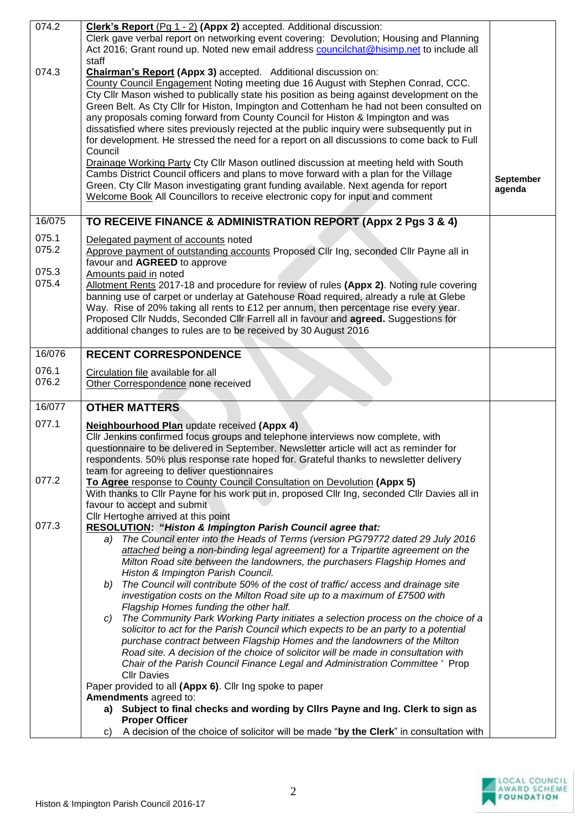| 074.2          | Clerk's Report (Pg 1 - 2) (Appx 2) accepted. Additional discussion:                                                                                                  |                  |
|----------------|----------------------------------------------------------------------------------------------------------------------------------------------------------------------|------------------|
|                | Clerk gave verbal report on networking event covering: Devolution; Housing and Planning                                                                              |                  |
|                | Act 2016; Grant round up. Noted new email address councilchat@hisimp.net to include all                                                                              |                  |
|                | staff                                                                                                                                                                |                  |
| 074.3          | Chairman's Report (Appx 3) accepted. Additional discussion on:                                                                                                       |                  |
|                | County Council Engagement Noting meeting due 16 August with Stephen Conrad, CCC.                                                                                     |                  |
|                | Cty Cllr Mason wished to publically state his position as being against development on the                                                                           |                  |
|                | Green Belt. As Cty Cllr for Histon, Impington and Cottenham he had not been consulted on                                                                             |                  |
|                | any proposals coming forward from County Council for Histon & Impington and was                                                                                      |                  |
|                | dissatisfied where sites previously rejected at the public inquiry were subsequently put in                                                                          |                  |
|                | for development. He stressed the need for a report on all discussions to come back to Full                                                                           |                  |
|                | Council                                                                                                                                                              |                  |
|                | Drainage Working Party Cty Cllr Mason outlined discussion at meeting held with South                                                                                 |                  |
|                | Cambs District Council officers and plans to move forward with a plan for the Village                                                                                | <b>September</b> |
|                | Green. Cty Cllr Mason investigating grant funding available. Next agenda for report<br>Welcome Book All Councillors to receive electronic copy for input and comment | agenda           |
|                |                                                                                                                                                                      |                  |
| 16/075         | TO RECEIVE FINANCE & ADMINISTRATION REPORT (Appx 2 Pgs 3 & 4)                                                                                                        |                  |
|                |                                                                                                                                                                      |                  |
| 075.1          | Delegated payment of accounts noted                                                                                                                                  |                  |
| 075.2          | Approve payment of outstanding accounts Proposed Cllr Ing, seconded Cllr Payne all in                                                                                |                  |
|                | favour and AGREED to approve                                                                                                                                         |                  |
| 075.3<br>075.4 | Amounts paid in noted                                                                                                                                                |                  |
|                | Allotment Rents 2017-18 and procedure for review of rules (Appx 2). Noting rule covering                                                                             |                  |
|                | banning use of carpet or underlay at Gatehouse Road required, already a rule at Glebe                                                                                |                  |
|                | Way. Rise of 20% taking all rents to £12 per annum, then percentage rise every year.                                                                                 |                  |
|                | Proposed Cllr Nudds, Seconded Cllr Farrell all in favour and <b>agreed.</b> Suggestions for<br>additional changes to rules are to be received by 30 August 2016      |                  |
|                |                                                                                                                                                                      |                  |
| 16/076         | <b>RECENT CORRESPONDENCE</b>                                                                                                                                         |                  |
| 076.1          |                                                                                                                                                                      |                  |
| 076.2          | Circulation file available for all<br>Other Correspondence none received                                                                                             |                  |
|                |                                                                                                                                                                      |                  |
| 16/077         | <b>OTHER MATTERS</b>                                                                                                                                                 |                  |
| 077.1          |                                                                                                                                                                      |                  |
|                | <b>Neighbourhood Plan</b> update received (Appx 4)<br>Cllr Jenkins confirmed focus groups and telephone interviews now complete, with                                |                  |
|                | questionnaire to be delivered in September. Newsletter article will act as reminder for                                                                              |                  |
|                | respondents. 50% plus response rate hoped for. Grateful thanks to newsletter delivery                                                                                |                  |
|                | team for agreeing to deliver questionnaires                                                                                                                          |                  |
| 077.2          | To Agree response to County Council Consultation on Devolution (Appx 5)                                                                                              |                  |
|                | With thanks to Cllr Payne for his work put in, proposed Cllr Ing, seconded Cllr Davies all in                                                                        |                  |
|                | favour to accept and submit                                                                                                                                          |                  |
|                | Cllr Hertoghe arrived at this point                                                                                                                                  |                  |
| 077.3          | RESOLUTION: "Histon & Impington Parish Council agree that:                                                                                                           |                  |
|                | a) The Council enter into the Heads of Terms (version PG79772 dated 29 July 2016                                                                                     |                  |
|                | attached being a non-binding legal agreement) for a Tripartite agreement on the                                                                                      |                  |
|                | Milton Road site between the landowners, the purchasers Flagship Homes and                                                                                           |                  |
|                | Histon & Impington Parish Council.                                                                                                                                   |                  |
|                | The Council will contribute 50% of the cost of traffic/ access and drainage site<br>b)                                                                               |                  |
|                | investigation costs on the Milton Road site up to a maximum of £7500 with                                                                                            |                  |
|                | Flagship Homes funding the other half.                                                                                                                               |                  |
|                | The Community Park Working Party initiates a selection process on the choice of a<br>C)                                                                              |                  |
|                | solicitor to act for the Parish Council which expects to be an party to a potential<br>purchase contract between Flagship Homes and the landowners of the Milton     |                  |
|                | Road site. A decision of the choice of solicitor will be made in consultation with                                                                                   |                  |
|                | Chair of the Parish Council Finance Legal and Administration Committee ' Prop                                                                                        |                  |
|                | <b>Cllr Davies</b>                                                                                                                                                   |                  |
|                |                                                                                                                                                                      |                  |
|                |                                                                                                                                                                      |                  |
|                | Paper provided to all (Appx 6). Cllr Ing spoke to paper<br>Amendments agreed to:                                                                                     |                  |
|                | a) Subject to final checks and wording by Cllrs Payne and Ing. Clerk to sign as                                                                                      |                  |
|                | <b>Proper Officer</b><br>A decision of the choice of solicitor will be made "by the Clerk" in consultation with<br>C)                                                |                  |